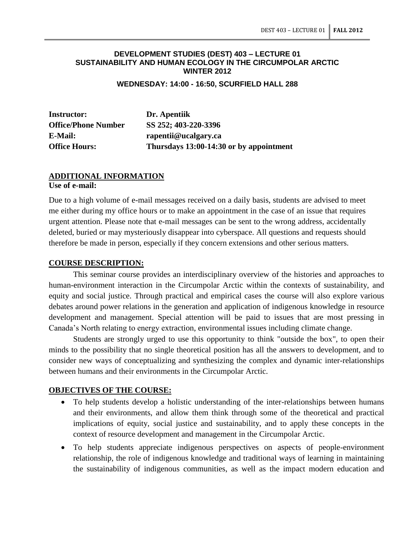#### **DEVELOPMENT STUDIES (DEST) 403 – LECTURE 01 SUSTAINABILITY AND HUMAN ECOLOGY IN THE CIRCUMPOLAR ARCTIC WINTER 2012**

**WEDNESDAY: 14:00 - 16:50, SCURFIELD HALL 288**

**Instructor: Dr. Apentiik**

**Office/Phone Number SS 252; 403-220-3396 E-Mail: rapentii@ucalgary.ca Office Hours: Thursdays 13:00-14:30 or by appointment**

# **ADDITIONAL INFORMATION**

**Use of e-mail:**

Due to a high volume of e-mail messages received on a daily basis, students are advised to meet me either during my office hours or to make an appointment in the case of an issue that requires urgent attention. Please note that e-mail messages can be sent to the wrong address, accidentally deleted, buried or may mysteriously disappear into cyberspace. All questions and requests should therefore be made in person, especially if they concern extensions and other serious matters.

#### **COURSE DESCRIPTION:**

This seminar course provides an interdisciplinary overview of the histories and approaches to human-environment interaction in the Circumpolar Arctic within the contexts of sustainability, and equity and social justice. Through practical and empirical cases the course will also explore various debates around power relations in the generation and application of indigenous knowledge in resource development and management. Special attention will be paid to issues that are most pressing in Canada's North relating to energy extraction, environmental issues including climate change.

Students are strongly urged to use this opportunity to think "outside the box", to open their minds to the possibility that no single theoretical position has all the answers to development, and to consider new ways of conceptualizing and synthesizing the complex and dynamic inter-relationships between humans and their environments in the Circumpolar Arctic.

## **OBJECTIVES OF THE COURSE:**

- To help students develop a holistic understanding of the inter-relationships between humans and their environments, and allow them think through some of the theoretical and practical implications of equity, social justice and sustainability, and to apply these concepts in the context of resource development and management in the Circumpolar Arctic.
- To help students appreciate indigenous perspectives on aspects of people-environment relationship, the role of indigenous knowledge and traditional ways of learning in maintaining the sustainability of indigenous communities, as well as the impact modern education and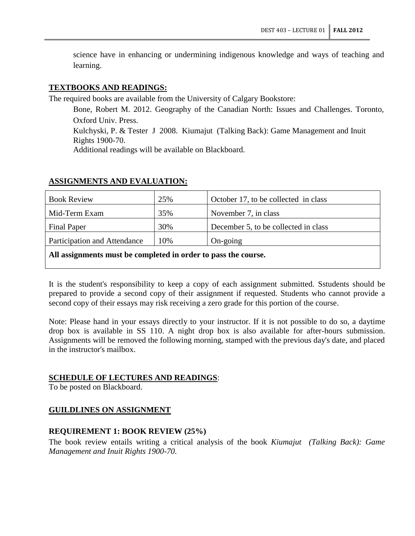science have in enhancing or undermining indigenous knowledge and ways of teaching and learning.

#### **TEXTBOOKS AND READINGS:**

The required books are available from the University of Calgary Bookstore:

Bone, Robert M. 2012. Geography of the Canadian North: Issues and Challenges. Toronto, Oxford Univ. Press.

Kulchyski, P. & Tester J 2008. Kiumajut (Talking Back): Game Management and Inuit Rights 1900-70.

Additional readings will be available on Blackboard.

| <b>Book Review</b>           | 25% | October 17, to be collected in class |
|------------------------------|-----|--------------------------------------|
| Mid-Term Exam                | 35% | November 7, in class                 |
| <b>Final Paper</b>           | 30% | December 5, to be collected in class |
| Participation and Attendance | 10% | $On\text{-going}$                    |
|                              |     |                                      |

#### **ASSIGNMENTS AND EVALUATION:**

#### **All assignments must be completed in order to pass the course.**

It is the student's responsibility to keep a copy of each assignment submitted. Sstudents should be prepared to provide a second copy of their assignment if requested. Students who cannot provide a second copy of their essays may risk receiving a zero grade for this portion of the course.

Note: Please hand in your essays directly to your instructor. If it is not possible to do so, a daytime drop box is available in SS 110. A night drop box is also available for after-hours submission. Assignments will be removed the following morning, stamped with the previous day's date, and placed in the instructor's mailbox.

## **SCHEDULE OF LECTURES AND READINGS**:

To be posted on Blackboard.

## **GUILDLINES ON ASSIGNMENT**

## **REQUIREMENT 1: BOOK REVIEW (25%)**

The book review entails writing a critical analysis of the book *Kiumajut (Talking Back): Game Management and Inuit Rights 1900-70*.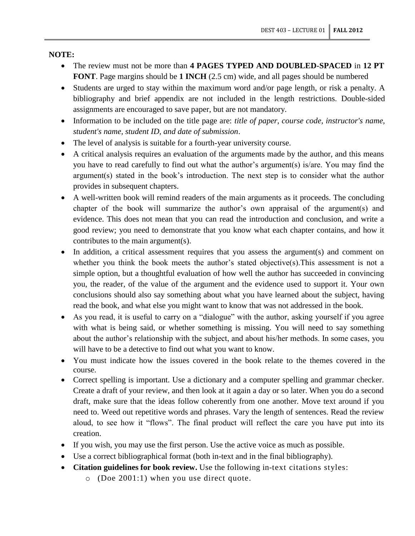**NOTE:**

- The review must not be more than **4 PAGES TYPED AND DOUBLED-SPACED** in **12 PT FONT**. Page margins should be **1 INCH** (2.5 cm) wide, and all pages should be numbered
- Students are urged to stay within the maximum word and/or page length, or risk a penalty. A bibliography and brief appendix are not included in the length restrictions. Double-sided assignments are encouraged to save paper, but are not mandatory.
- Information to be included on the title page are: *title of paper, course code, instructor's name, student's name, student ID, and date of submission*.
- The level of analysis is suitable for a fourth-year university course.
- A critical analysis requires an evaluation of the arguments made by the author, and this means you have to read carefully to find out what the author's argument(s) is/are. You may find the argument(s) stated in the book's introduction. The next step is to consider what the author provides in subsequent chapters.
- A well-written book will remind readers of the main arguments as it proceeds. The concluding chapter of the book will summarize the author's own appraisal of the argument(s) and evidence. This does not mean that you can read the introduction and conclusion, and write a good review; you need to demonstrate that you know what each chapter contains, and how it contributes to the main argument(s).
- In addition, a critical assessment requires that you assess the argument(s) and comment on whether you think the book meets the author's stated objective(s).This assessment is not a simple option, but a thoughtful evaluation of how well the author has succeeded in convincing you, the reader, of the value of the argument and the evidence used to support it. Your own conclusions should also say something about what you have learned about the subject, having read the book, and what else you might want to know that was not addressed in the book.
- As you read, it is useful to carry on a "dialogue" with the author, asking yourself if you agree with what is being said, or whether something is missing. You will need to say something about the author's relationship with the subject, and about his/her methods. In some cases, you will have to be a detective to find out what you want to know.
- You must indicate how the issues covered in the book relate to the themes covered in the course.
- Correct spelling is important. Use a dictionary and a computer spelling and grammar checker. Create a draft of your review, and then look at it again a day or so later. When you do a second draft, make sure that the ideas follow coherently from one another. Move text around if you need to. Weed out repetitive words and phrases. Vary the length of sentences. Read the review aloud, to see how it "flows". The final product will reflect the care you have put into its creation.
- If you wish, you may use the first person. Use the active voice as much as possible.
- Use a correct bibliographical format (both in-text and in the final bibliography).
- **Citation guidelines for book review.** Use the following in-text citations styles:
	- o (Doe 2001:1) when you use direct quote.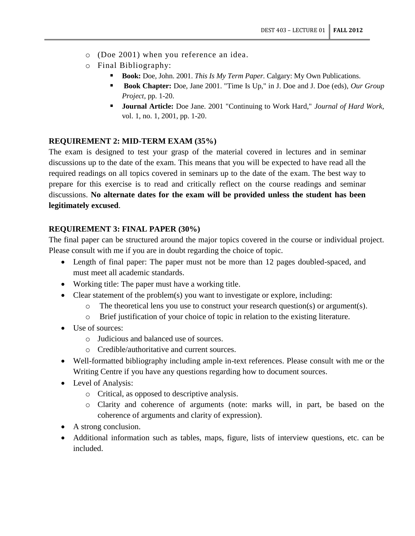- o (Doe 2001) when you reference an idea.
- o Final Bibliography:
	- **Book:** Doe, John. 2001. *This Is My Term Paper.* Calgary: My Own Publications.
	- **Book Chapter:** Doe, Jane 2001. "Time Is Up," in J. Doe and J. Doe (eds), *Our Group Project,* pp. 1-20.
	- **Journal Article:** Doe Jane. 2001 "Continuing to Work Hard," *Journal of Hard Work,*  vol. 1, no. 1, 2001, pp. 1-20.

## **REQUIREMENT 2: MID-TERM EXAM (35%)**

The exam is designed to test your grasp of the material covered in lectures and in seminar discussions up to the date of the exam. This means that you will be expected to have read all the required readings on all topics covered in seminars up to the date of the exam. The best way to prepare for this exercise is to read and critically reflect on the course readings and seminar discussions. **No alternate dates for the exam will be provided unless the student has been legitimately excused**.

## **REQUIREMENT 3: FINAL PAPER (30%)**

The final paper can be structured around the major topics covered in the course or individual project. Please consult with me if you are in doubt regarding the choice of topic.

- Length of final paper: The paper must not be more than 12 pages doubled-spaced, and must meet all academic standards.
- Working title: The paper must have a working title.
- Clear statement of the problem(s) you want to investigate or explore, including:
	- o The theoretical lens you use to construct your research question(s) or argument(s).
	- o Brief justification of your choice of topic in relation to the existing literature.
- Use of sources:
	- o Judicious and balanced use of sources.
	- o Credible/authoritative and current sources.
- Well-formatted bibliography including ample in-text references. Please consult with me or the Writing Centre if you have any questions regarding how to document sources.
- Level of Analysis:
	- o Critical, as opposed to descriptive analysis.
	- o Clarity and coherence of arguments (note: marks will, in part, be based on the coherence of arguments and clarity of expression).
- A strong conclusion.
- Additional information such as tables, maps, figure, lists of interview questions, etc. can be included.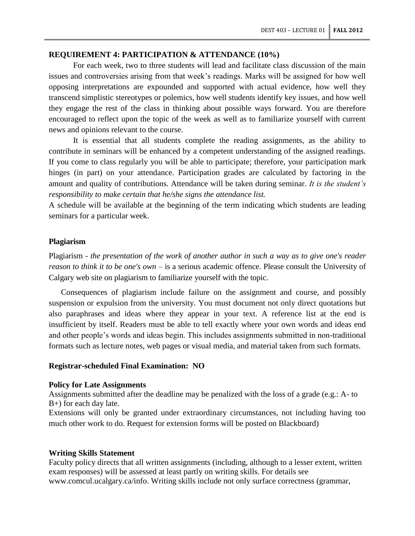## **REQUIREMENT 4: PARTICIPATION & ATTENDANCE (10%)**

For each week, two to three students will lead and facilitate class discussion of the main issues and controversies arising from that week's readings. Marks will be assigned for how well opposing interpretations are expounded and supported with actual evidence, how well they transcend simplistic stereotypes or polemics, how well students identify key issues, and how well they engage the rest of the class in thinking about possible ways forward. You are therefore encouraged to reflect upon the topic of the week as well as to familiarize yourself with current news and opinions relevant to the course.

It is essential that all students complete the reading assignments, as the ability to contribute in seminars will be enhanced by a competent understanding of the assigned readings. If you come to class regularly you will be able to participate; therefore, your participation mark hinges (in part) on your attendance. Participation grades are calculated by factoring in the amount and quality of contributions. Attendance will be taken during seminar. *It is the student's responsibility to make certain that he/she signs the attendance list.*

A schedule will be available at the beginning of the term indicating which students are leading seminars for a particular week.

## **Plagiarism**

Plagiarism - *the presentation of the work of another author in such a way as to give one's reader reason to think it to be one's own –* is a serious academic offence*.* Please consult the University of Calgary web site on plagiarism to familiarize yourself with the topic.

Consequences of plagiarism include failure on the assignment and course, and possibly suspension or expulsion from the university. You must document not only direct quotations but also paraphrases and ideas where they appear in your text. A reference list at the end is insufficient by itself. Readers must be able to tell exactly where your own words and ideas end and other people's words and ideas begin. This includes assignments submitted in non-traditional formats such as lecture notes, web pages or visual media, and material taken from such formats.

#### **Registrar-scheduled Final Examination: NO**

#### **Policy for Late Assignments**

Assignments submitted after the deadline may be penalized with the loss of a grade (e.g.: A- to B+) for each day late.

Extensions will only be granted under extraordinary circumstances, not including having too much other work to do. Request for extension forms will be posted on Blackboard)

#### **Writing Skills Statement**

Faculty policy directs that all written assignments (including, although to a lesser extent, written exam responses) will be assessed at least partly on writing skills. For details see www.comcul.ucalgary.ca/info. Writing skills include not only surface correctness (grammar,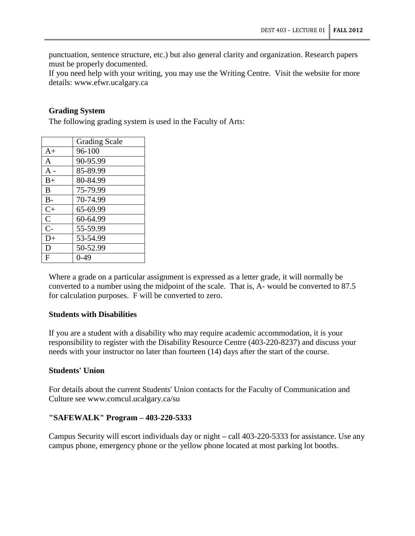punctuation, sentence structure, etc.) but also general clarity and organization. Research papers must be properly documented.

If you need help with your writing, you may use the Writing Centre. Visit the website for more details: www.efwr.ucalgary.ca

## **Grading System**

The following grading system is used in the Faculty of Arts:

|              | <b>Grading Scale</b> |  |
|--------------|----------------------|--|
| $A+$         | 96-100               |  |
| A            | 90-95.99             |  |
| $A -$        | 85-89.99             |  |
| $B+$         | 80-84.99             |  |
| B            | 75-79.99             |  |
| $B -$        | 70-74.99             |  |
| $C+$         | 65-69.99             |  |
| $\mathsf{C}$ | 60-64.99             |  |
| $C-$         | 55-59.99             |  |
| $D+$         | 53-54.99             |  |
| D            | 50-52.99             |  |
| F            | 0-49                 |  |

Where a grade on a particular assignment is expressed as a letter grade, it will normally be converted to a number using the midpoint of the scale. That is, A- would be converted to 87.5 for calculation purposes. F will be converted to zero.

#### **Students with Disabilities**

If you are a student with a disability who may require academic accommodation, it is your responsibility to register with the Disability Resource Centre (403-220-8237) and discuss your needs with your instructor no later than fourteen (14) days after the start of the course.

## **Students' Union**

For details about the current Students' Union contacts for the Faculty of Communication and Culture see www.comcul.ucalgary.ca/su

## **"SAFEWALK" Program – 403-220-5333**

Campus Security will escort individuals day or night **–** call 403-220-5333 for assistance. Use any campus phone, emergency phone or the yellow phone located at most parking lot booths.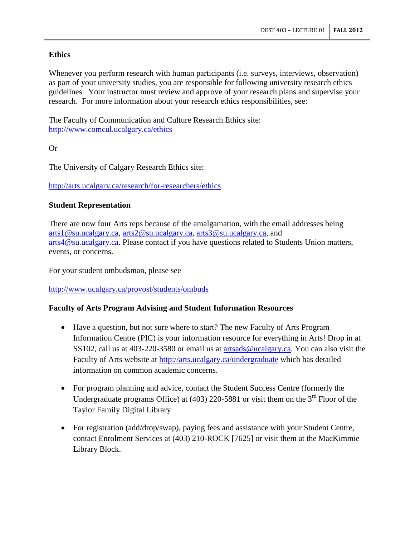# **Ethics**

Whenever you perform research with human participants (i.e. surveys, interviews, observation) as part of your university studies, you are responsible for following university research ethics guidelines. Your instructor must review and approve of your research plans and supervise your research. For more information about your research ethics responsibilities, see:

The Faculty of Communication and Culture Research Ethics site: <http://www.comcul.ucalgary.ca/ethics>

Or

The University of Calgary Research Ethics site:

<http://arts.ucalgary.ca/research/for-researchers/ethics>

# **Student Representation**

There are now four Arts reps because of the amalgamation, with the email addresses being [arts1@su.ucalgary.ca,](mailto:arts1@su.ucalgary.ca) [arts2@su.ucalgary.ca,](mailto:arts2@su.ucalgary.ca) [arts3@su.ucalgary.ca,](mailto:arts3@su.ucalgary.ca) and [arts4@su.ucalgary.ca.](mailto:arts4@su.ucalgary.ca) Please contact if you have questions related to Students Union matters, events, or concerns.

For your student ombudsman, please see

<http://www.ucalgary.ca/provost/students/ombuds>

# **Faculty of Arts Program Advising and Student Information Resources**

- Have a question, but not sure where to start? The new Faculty of Arts Program Information Centre (PIC) is your information resource for everything in Arts! Drop in at SS102, call us at 403-220-3580 or email us at [artsads@ucalgary.ca.](mailto:artsads@ucalgary.ca) You can also visit the Faculty of Arts website at<http://arts.ucalgary.ca/undergraduate> which has detailed information on common academic concerns.
- For program planning and advice, contact the Student Success Centre (formerly the Undergraduate programs Office) at  $(403)$  220-5881 or visit them on the 3<sup>rd</sup> Floor of the Taylor Family Digital Library
- For registration (add/drop/swap), paying fees and assistance with your Student Centre, contact Enrolment Services at (403) 210-ROCK [7625] or visit them at the MacKimmie Library Block.